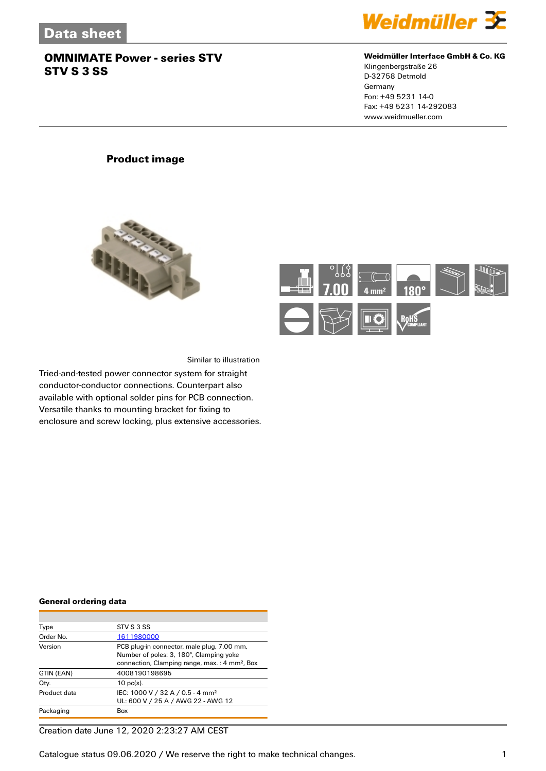

#### **Weidmüller Interface GmbH & Co. KG**

Klingenbergstraße 26 D-32758 Detmold Germany Fon: +49 5231 14-0 Fax: +49 5231 14-292083 www.weidmueller.com

## **Product image**





Similar to illustration

Tried-and-tested power connector system for straight conductor-conductor connections. Counterpart also available with optional solder pins for PCB connection. Versatile thanks to mounting bracket for fixing to enclosure and screw locking, plus extensive accessories.

#### **General ordering data**

| Type         | STV S 3 SS                                                                                                                                         |
|--------------|----------------------------------------------------------------------------------------------------------------------------------------------------|
| Order No.    | 1611980000                                                                                                                                         |
| Version      | PCB plug-in connector, male plug, 7.00 mm,<br>Number of poles: 3, 180°, Clamping yoke<br>connection, Clamping range, max.: 4 mm <sup>2</sup> , Box |
| GTIN (EAN)   | 4008190198695                                                                                                                                      |
| Qty.         | $10$ pc(s).                                                                                                                                        |
| Product data | IEC: 1000 V / 32 A / 0.5 - 4 mm <sup>2</sup><br>UL: 600 V / 25 A / AWG 22 - AWG 12                                                                 |
| Packaging    | Box                                                                                                                                                |

Creation date June 12, 2020 2:23:27 AM CEST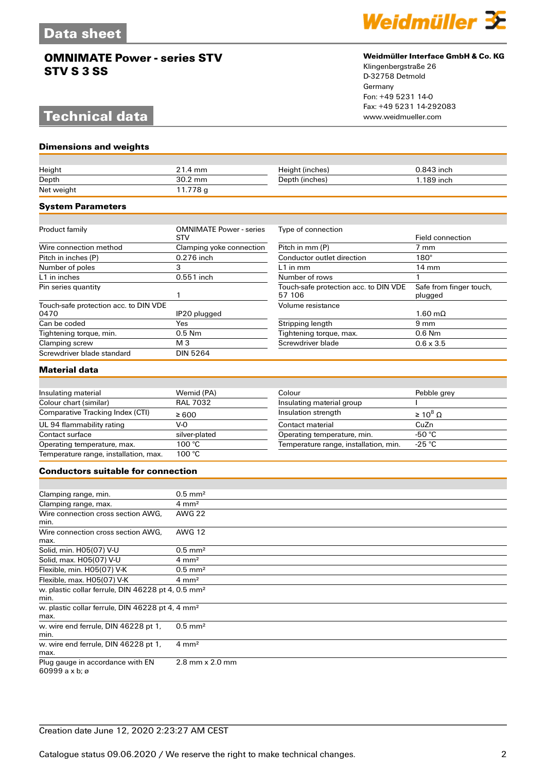# **Technical data**

**Dimensions and weights**



#### **Weidmüller Interface GmbH & Co. KG**

Klingenbergstraße 26 D-32758 Detmold Germany Fon: +49 5231 14-0 Fax: +49 5231 14-292083

| Height                                                                 | 21.4 mm                                      | Height (inches)                                 | 0.843 inch                         |
|------------------------------------------------------------------------|----------------------------------------------|-------------------------------------------------|------------------------------------|
| Depth                                                                  | 30.2 mm                                      | Depth (inches)                                  | 1.189 inch                         |
| Net weight                                                             | 11.778 g                                     |                                                 |                                    |
| <b>System Parameters</b>                                               |                                              |                                                 |                                    |
|                                                                        |                                              |                                                 |                                    |
| Product family                                                         | <b>OMNIMATE Power - series</b><br><b>STV</b> | Type of connection                              | <b>Field connection</b>            |
| Wire connection method                                                 | Clamping yoke connection                     | Pitch in mm (P)                                 | $7 \text{ mm}$                     |
| Pitch in inches (P)                                                    | 0.276 inch                                   | Conductor outlet direction                      | $180^\circ$                        |
| Number of poles                                                        | 3                                            | $L1$ in mm                                      | $14 \text{ mm}$                    |
| L1 in inches                                                           | $\overline{0.551}$ inch                      | Number of rows                                  | 1                                  |
| Pin series quantity                                                    | $\mathbf{1}$                                 | Touch-safe protection acc. to DIN VDE<br>57 106 | Safe from finger touch,<br>plugged |
| Touch-safe protection acc. to DIN VDE<br>0470                          | IP20 plugged                                 | Volume resistance                               | $1.60 \text{ m}\Omega$             |
| Can be coded                                                           | Yes                                          | Stripping length                                | 9 <sub>mm</sub>                    |
| Tightening torque, min.                                                | $0.5$ Nm                                     | Tightening torque, max.                         | 0.6 Nm                             |
| Clamping screw                                                         | M 3                                          | Screwdriver blade                               | $0.6 \times 3.5$                   |
| Screwdriver blade standard                                             | <b>DIN 5264</b>                              |                                                 |                                    |
| <b>Material data</b>                                                   |                                              |                                                 |                                    |
|                                                                        |                                              |                                                 |                                    |
| Insulating material                                                    | Wemid (PA)                                   | Colour                                          | Pebble grey                        |
| Colour chart (similar)                                                 | <b>RAL 7032</b>                              | Insulating material group                       |                                    |
| Comparative Tracking Index (CTI)                                       | $\geq 600$                                   | Insulation strength                             | $\geq 10^8 \Omega$                 |
| UL 94 flammability rating                                              | $V-0$                                        | Contact material                                | CuZn                               |
| Contact surface                                                        | silver-plated                                | Operating temperature, min.                     | -50 °C                             |
| Operating temperature, max.                                            | 100 °C                                       | Temperature range, installation, min.           | $-25 °C$                           |
| Temperature range, installation, max.                                  | 100 °C                                       |                                                 |                                    |
| <b>Conductors suitable for connection</b>                              |                                              |                                                 |                                    |
|                                                                        |                                              |                                                 |                                    |
| Clamping range, min.                                                   | $0.5$ mm <sup>2</sup>                        |                                                 |                                    |
| Clamping range, max.                                                   | $4 \, \text{mm}^2$                           |                                                 |                                    |
| Wire connection cross section AWG,<br>min.                             | <b>AWG 22</b>                                |                                                 |                                    |
| Wire connection cross section AWG.<br>max.                             | <b>AWG 12</b>                                |                                                 |                                    |
| Solid, min. H05(07) V-U                                                | $0.5$ mm <sup>2</sup>                        |                                                 |                                    |
| Solid, max. H05(07) V-U                                                | $4 \, \text{mm}^2$                           |                                                 |                                    |
| Flexible, min. H05(07) V-K                                             | $0.5$ mm <sup>2</sup>                        |                                                 |                                    |
| Flexible, max. H05(07) V-K                                             | $4 \, \text{mm}^2$                           |                                                 |                                    |
| w. plastic collar ferrule, DIN 46228 pt 4, 0.5 mm <sup>2</sup><br>min. |                                              |                                                 |                                    |
| w. plastic collar ferrule, DIN 46228 pt 4, 4 mm <sup>2</sup><br>max.   |                                              |                                                 |                                    |
| w. wire end ferrule, DIN 46228 pt 1,<br>min.                           | $0.5$ mm <sup>2</sup>                        |                                                 |                                    |
| w. wire end ferrule, DIN 46228 pt 1,<br>max.                           | $4 \, \text{mm}^2$                           |                                                 |                                    |
| Plug gauge in accordance with EN<br>60999 a x b: $\varnothing$         | 2.8 mm x 2.0 mm                              |                                                 |                                    |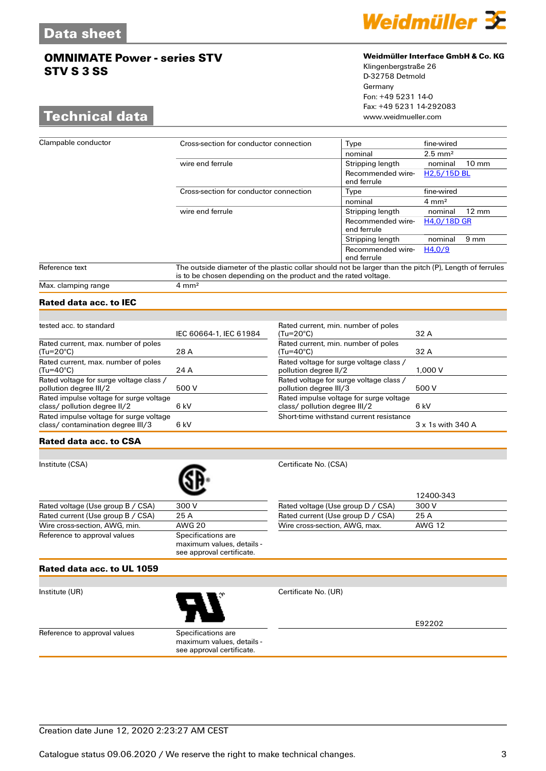## **Technical data**



### **Weidmüller Interface GmbH & Co. KG**

Klingenbergstraße 26 D-32758 Detmold Germany Fon: +49 5231 14-0 Fax: +49 5231 14-292083

| Clampable conductor | Cross-section for conductor connection                                                                                                                                    | Type                             | fine-wired                 |
|---------------------|---------------------------------------------------------------------------------------------------------------------------------------------------------------------------|----------------------------------|----------------------------|
|                     |                                                                                                                                                                           | nominal                          | $2.5 \text{ mm}^2$         |
|                     | wire end ferrule                                                                                                                                                          | Stripping length                 | $10 \text{ mm}$<br>nominal |
|                     |                                                                                                                                                                           | Recommended wire-<br>end ferrule | H <sub>2.5</sub> /15D BL   |
|                     | Cross-section for conductor connection                                                                                                                                    | Type                             | fine-wired                 |
|                     |                                                                                                                                                                           | nominal                          | $4 \text{ mm}^2$           |
|                     | wire end ferrule                                                                                                                                                          | Stripping length                 | $12 \text{ mm}$<br>nominal |
|                     |                                                                                                                                                                           | Recommended wire-<br>end ferrule | H4,0/18D GR                |
|                     |                                                                                                                                                                           | Stripping length                 | $9 \text{ mm}$<br>nominal  |
|                     |                                                                                                                                                                           | Recommended wire-<br>end ferrule | H4.0/9                     |
| Reference text      | The outside diameter of the plastic collar should not be larger than the pitch (P), Length of ferrules<br>is to be chosen depending on the product and the rated voltage. |                                  |                            |
| Max. clamping range | $4 \text{ mm}^2$                                                                                                                                                          |                                  |                            |

## **Rated data acc. to IEC**

| tested acc. to standard                                                         |                        | Rated cu                    |
|---------------------------------------------------------------------------------|------------------------|-----------------------------|
|                                                                                 | IEC 60664-1, IEC 61984 | $(Tu=20^\circ)$             |
| Rated current, max. number of poles<br>$(Tu=20^{\circ}C)$                       | 28 A                   | Rated cu<br>$(Tu=40^\circ)$ |
| Rated current, max. number of poles<br>$(Tu=40^{\circ}C)$                       | 24 A                   | Rated vo<br>pollution       |
| Rated voltage for surge voltage class /<br>pollution degree III/2               | 500 V                  | Rated vo<br>pollution       |
| Rated impulse voltage for surge voltage<br>class/ pollution degree II/2<br>6 kV |                        | Rated im<br>class/po        |
| Rated impulse voltage for surge voltage<br>class/contamination degree III/3     | 6 kV                   | Short-tin                   |

| Rated current, min. number of poles     |                   |
|-----------------------------------------|-------------------|
| (Tu=20°C)                               | 32 A              |
| Rated current, min. number of poles     |                   |
| (Tu=40°C)                               | 32 A              |
| Rated voltage for surge voltage class / |                   |
| pollution degree II/2                   | 1.000V            |
| Rated voltage for surge voltage class / |                   |
| pollution degree III/3                  | 500 V             |
| Rated impulse voltage for surge voltage |                   |
| class/ pollution degree III/2           | 6 kV              |
| Short-time withstand current resistance |                   |
|                                         | 3 x 1s with 340 A |
|                                         |                   |

#### **Rated data acc. to CSA**

Institute (CSA) Certificate No. (CSA) Rated voltage (Use group B / CSA) 300 V Rated current (Use group B / CSA) 25 A<br>Wire cross-section, AWG, min. AWG 20 Wire cross-section, AWG, min. Reference to approval values Specifications are maximum values, details see approval certificate.

|                                   | 12400-343 |
|-----------------------------------|-----------|
| Rated voltage (Use group D / CSA) | 300 V     |
| Rated current (Use group D / CSA) | 25 A      |
| Wire cross-section, AWG, max.     | AWG 12    |

### **Rated data acc. to UL 1059**



Institute (UR) Certificate No. (UR)

E92202

Reference to approval values Specifications are

maximum values, details see approval certificate.

Creation date June 12, 2020 2:23:27 AM CEST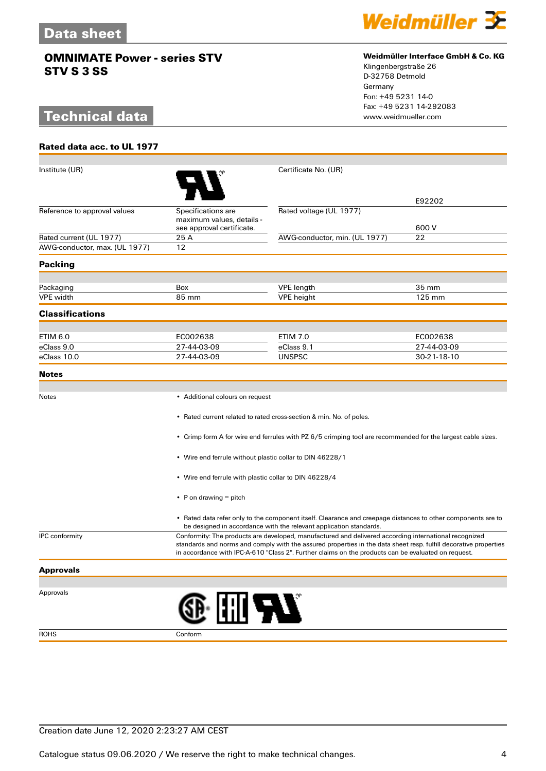# **Technical data**

**Rated data acc. to UL 1977**



### **Weidmüller Interface GmbH & Co. KG**

Klingenbergstraße 26 D-32758 Detmold Germany Fon: +49 5231 14-0 Fax: +49 5231 14-292083

| Institute (UR)                                           |                                                                                                                                                                                                                                                                                                                                  | Certificate No. (UR)                                                                                        |             |
|----------------------------------------------------------|----------------------------------------------------------------------------------------------------------------------------------------------------------------------------------------------------------------------------------------------------------------------------------------------------------------------------------|-------------------------------------------------------------------------------------------------------------|-------------|
|                                                          |                                                                                                                                                                                                                                                                                                                                  |                                                                                                             | E92202      |
| Reference to approval values                             | Specifications are<br>maximum values, details -                                                                                                                                                                                                                                                                                  | Rated voltage (UL 1977)                                                                                     |             |
|                                                          | see approval certificate.                                                                                                                                                                                                                                                                                                        |                                                                                                             | 600 V       |
| Rated current (UL 1977)<br>AWG-conductor, max. (UL 1977) | 25 A<br>12                                                                                                                                                                                                                                                                                                                       | AWG-conductor, min. (UL 1977)                                                                               | 22          |
|                                                          |                                                                                                                                                                                                                                                                                                                                  |                                                                                                             |             |
| <b>Packing</b>                                           |                                                                                                                                                                                                                                                                                                                                  |                                                                                                             |             |
| Packaging                                                | <b>Box</b>                                                                                                                                                                                                                                                                                                                       | <b>VPE</b> length                                                                                           | 35 mm       |
| <b>VPE</b> width                                         | 85 mm                                                                                                                                                                                                                                                                                                                            | <b>VPE</b> height                                                                                           | 125 mm      |
| <b>Classifications</b>                                   |                                                                                                                                                                                                                                                                                                                                  |                                                                                                             |             |
|                                                          |                                                                                                                                                                                                                                                                                                                                  |                                                                                                             |             |
| ETIM 6.0                                                 | EC002638                                                                                                                                                                                                                                                                                                                         | <b>ETIM 7.0</b>                                                                                             | EC002638    |
| eClass 9.0                                               | 27-44-03-09                                                                                                                                                                                                                                                                                                                      | eClass 9.1                                                                                                  | 27-44-03-09 |
| eClass 10.0                                              | 27-44-03-09                                                                                                                                                                                                                                                                                                                      | <b>UNSPSC</b>                                                                                               | 30-21-18-10 |
| <b>Notes</b>                                             |                                                                                                                                                                                                                                                                                                                                  |                                                                                                             |             |
|                                                          |                                                                                                                                                                                                                                                                                                                                  |                                                                                                             |             |
| Notes                                                    | • Additional colours on request                                                                                                                                                                                                                                                                                                  |                                                                                                             |             |
|                                                          | • Rated current related to rated cross-section & min. No. of poles.                                                                                                                                                                                                                                                              |                                                                                                             |             |
|                                                          |                                                                                                                                                                                                                                                                                                                                  | • Crimp form A for wire end ferrules with PZ 6/5 crimping tool are recommended for the largest cable sizes. |             |
|                                                          | • Wire end ferrule without plastic collar to DIN 46228/1                                                                                                                                                                                                                                                                         |                                                                                                             |             |
|                                                          | • Wire end ferrule with plastic collar to DIN 46228/4                                                                                                                                                                                                                                                                            |                                                                                                             |             |
|                                                          | • P on drawing $=$ pitch                                                                                                                                                                                                                                                                                                         |                                                                                                             |             |
|                                                          | • Rated data refer only to the component itself. Clearance and creepage distances to other components are to<br>be designed in accordance with the relevant application standards.                                                                                                                                               |                                                                                                             |             |
| <b>IPC</b> conformity                                    | Conformity: The products are developed, manufactured and delivered according international recognized<br>standards and norms and comply with the assured properties in the data sheet resp. fulfill decorative properties<br>in accordance with IPC-A-610 "Class 2". Further claims on the products can be evaluated on request. |                                                                                                             |             |
| <b>Approvals</b>                                         |                                                                                                                                                                                                                                                                                                                                  |                                                                                                             |             |
|                                                          |                                                                                                                                                                                                                                                                                                                                  |                                                                                                             |             |
| Approvals                                                | : I iii 577                                                                                                                                                                                                                                                                                                                      |                                                                                                             |             |
| <b>ROHS</b>                                              | Conform                                                                                                                                                                                                                                                                                                                          |                                                                                                             |             |

Creation date June 12, 2020 2:23:27 AM CEST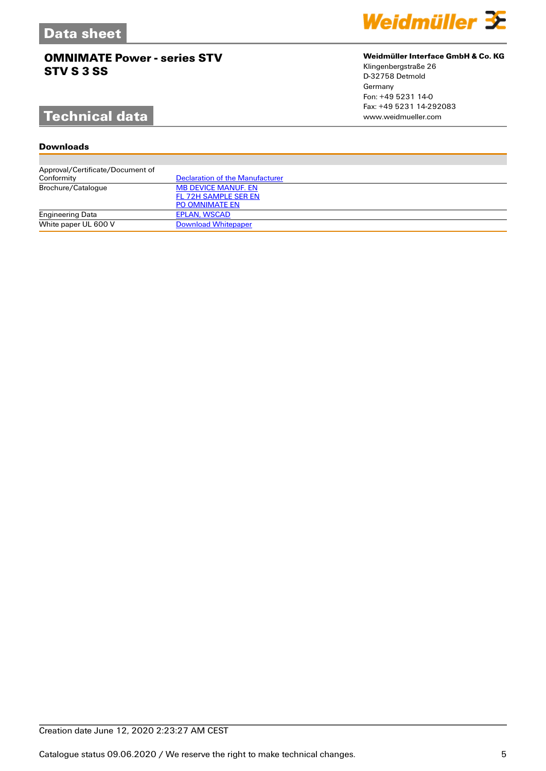# **Technical data**

## **Downloads**

| Approval/Certificate/Document of |                                 |
|----------------------------------|---------------------------------|
| Conformity                       | Declaration of the Manufacturer |
| Brochure/Catalogue               | <b>MB DEVICE MANUF. EN</b>      |
|                                  | FL 72H SAMPLE SER EN            |
|                                  | <b>PO OMNIMATE EN</b>           |
| <b>Engineering Data</b>          | <b>EPLAN, WSCAD</b>             |
| White paper UL 600 V             | <b>Download Whitepaper</b>      |



### **Weidmüller Interface GmbH & Co. KG**

Klingenbergstraße 26 D-32758 Detmold Germany Fon: +49 5231 14-0 Fax: +49 5231 14-292083